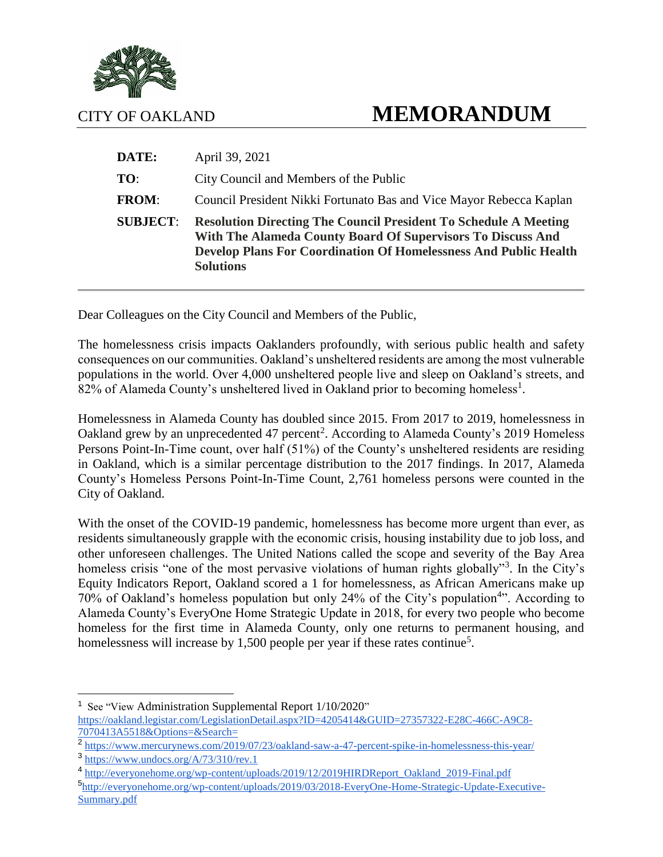

## CITY OF OAKLAND **MEMORANDUM**

| DATE:           | April 39, 2021                                                                                                                                                                                                                 |
|-----------------|--------------------------------------------------------------------------------------------------------------------------------------------------------------------------------------------------------------------------------|
| TO:             | City Council and Members of the Public                                                                                                                                                                                         |
| <b>FROM:</b>    | Council President Nikki Fortunato Bas and Vice Mayor Rebecca Kaplan                                                                                                                                                            |
| <b>SUBJECT:</b> | <b>Resolution Directing The Council President To Schedule A Meeting</b><br>With The Alameda County Board Of Supervisors To Discuss And<br>Develop Plans For Coordination Of Homelessness And Public Health<br><b>Solutions</b> |

Dear Colleagues on the City Council and Members of the Public,

The homelessness crisis impacts Oaklanders profoundly, with serious public health and safety consequences on our communities. Oakland's unsheltered residents are among the most vulnerable populations in the world. Over 4,000 unsheltered people live and sleep on Oakland's streets, and  $82\%$  of Alameda County's unsheltered lived in Oakland prior to becoming homeless<sup>1</sup>.

Homelessness in Alameda County has doubled since 2015. From 2017 to 2019, homelessness in Oakland grew by an unprecedented 47 percent<sup>2</sup>. According to Alameda County's 2019 Homeless Persons Point-In-Time count, over half (51%) of the County's unsheltered residents are residing in Oakland, which is a similar percentage distribution to the 2017 findings. In 2017, Alameda County's Homeless Persons Point-In-Time Count, 2,761 homeless persons were counted in the City of Oakland.

With the onset of the COVID-19 pandemic, homelessness has become more urgent than ever, as residents simultaneously grapple with the economic crisis, housing instability due to job loss, and other unforeseen challenges. The United Nations called the scope and severity of the Bay Area homeless crisis "one of the most pervasive violations of human rights globally"<sup>3</sup>. In the City's Equity Indicators Report, Oakland scored a 1 for homelessness, as African Americans make up 70% of Oakland's homeless population but only 24% of the City's population<sup>4</sup>". According to Alameda County's EveryOne Home Strategic Update in 2018, for every two people who become homeless for the first time in Alameda County, only one returns to permanent housing, and homelessness will increase by 1,500 people per year if these rates continue<sup>5</sup>.

<sup>&</sup>lt;sup>1</sup> See "View Administration Supplemental Report 1/10/2020" [https://oakland.legistar.com/LegislationDetail.aspx?ID=4205414&GUID=27357322-E28C-466C-A9C8-](https://oakland.legistar.com/LegislationDetail.aspx?ID=4205414&GUID=27357322-E28C-466C-A9C8-7070413A5518&Options=&Search=) [7070413A5518&Options=&Search=](https://oakland.legistar.com/LegislationDetail.aspx?ID=4205414&GUID=27357322-E28C-466C-A9C8-7070413A5518&Options=&Search=)

<sup>&</sup>lt;sup>2</sup> <https://www.mercurynews.com/2019/07/23/oakland-saw-a-47-percent-spike-in-homelessness-this-year/>

<sup>&</sup>lt;sup>3</sup><https://www.undocs.org/A/73/310/rev.1>

<sup>&</sup>lt;sup>4</sup> [http://everyonehome.org/wp-content/uploads/2019/12/2019HIRDReport\\_Oakland\\_2019-Final.pdf](http://everyonehome.org/wp-content/uploads/2019/12/2019HIRDReport_Oakland_2019-Final.pdf)

<sup>&</sup>lt;sup>5</sup>[http://everyonehome.org/wp-content/uploads/2019/03/2018-EveryOne-Home-Strategic-Update-Executive-](http://everyonehome.org/wp-content/uploads/2019/03/2018-EveryOne-Home-Strategic-Update-Executive-Summary.pdf)[Summary.pdf](http://everyonehome.org/wp-content/uploads/2019/03/2018-EveryOne-Home-Strategic-Update-Executive-Summary.pdf)